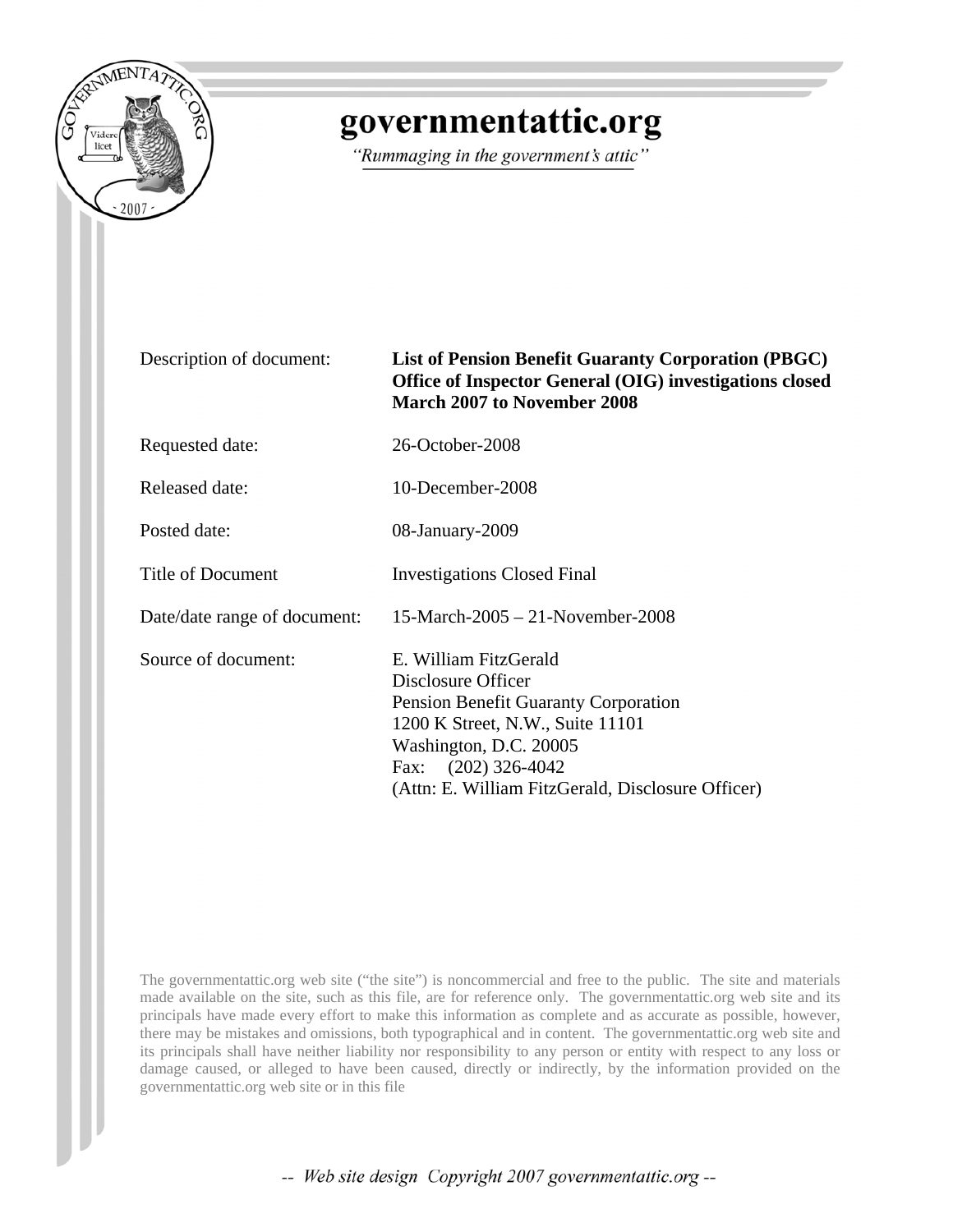

## governmentattic.org

"Rummaging in the government's attic"

| Description of document: |  |  |  |
|--------------------------|--|--|--|
|--------------------------|--|--|--|

## **List of Pension Benefit Guaranty Corporation (PBGC) Office of Inspector General (OIG) investigations closed March 2007 to November 2008**

Requested date: 26-October-2008

Released date: 10-December-2008

Posted date: 08-January-2009

Title of Document Investigations Closed Final

Date/date range of document: 15-March-2005 – 21-November-2008

Source of document: E. William FitzGerald Disclosure Officer Pension Benefit Guaranty Corporation 1200 K Street, N.W., Suite 11101 Washington, D.C. 20005 Fax: (202) 326-4042 (Attn: E. William FitzGerald, Disclosure Officer)

The governmentattic.org web site ("the site") is noncommercial and free to the public. The site and materials made available on the site, such as this file, are for reference only. The governmentattic.org web site and its principals have made every effort to make this information as complete and as accurate as possible, however, there may be mistakes and omissions, both typographical and in content. The governmentattic.org web site and its principals shall have neither liability nor responsibility to any person or entity with respect to any loss or damage caused, or alleged to have been caused, directly or indirectly, by the information provided on the governmentattic.org web site or in this file

-- Web site design Copyright 2007 governmentattic.org --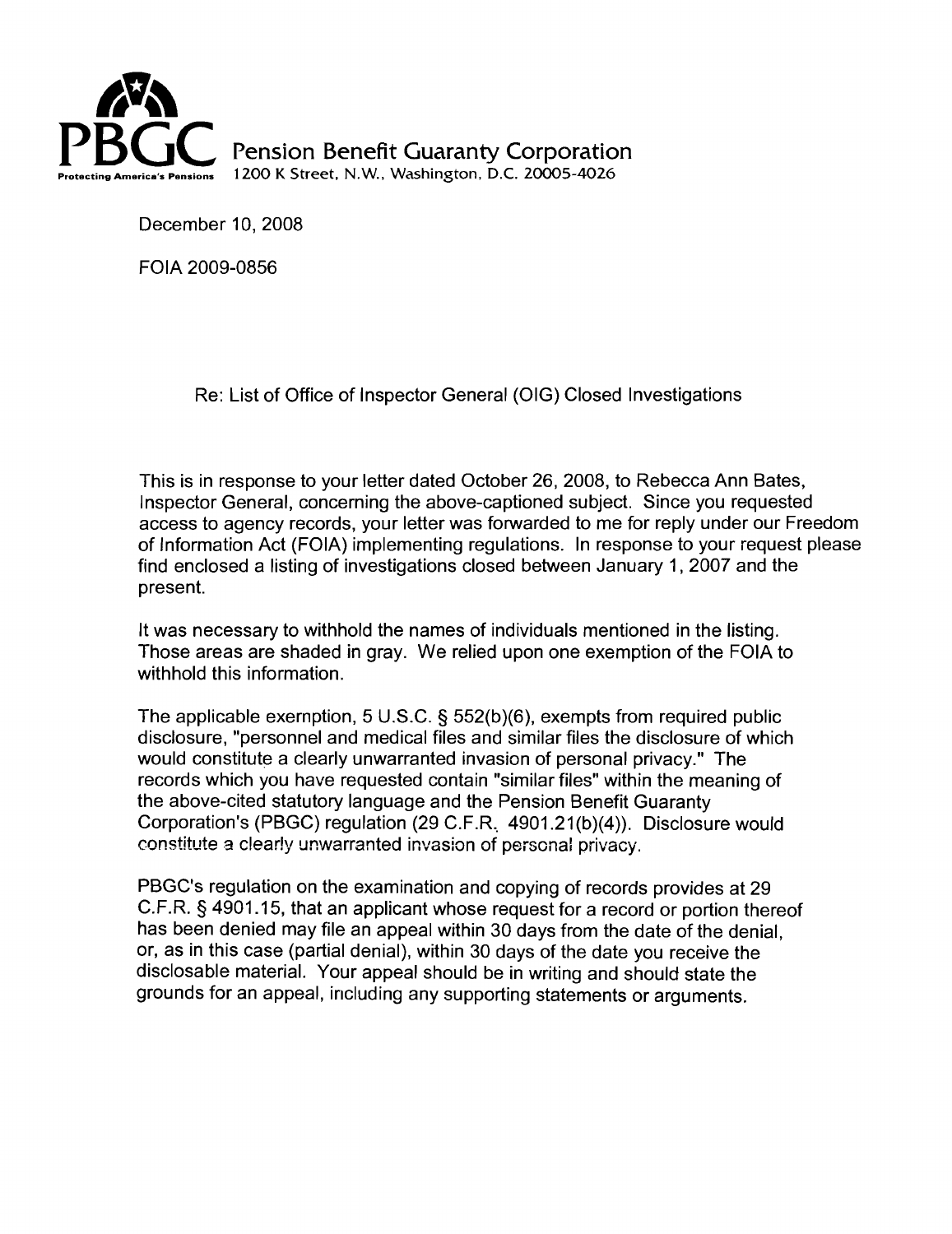

**Pension Benefit Guaranty Corporation** 1200 K Street, N.W., Washington, D.C. 20005-4026

December 10, 2008

FOIA 2009-0856

Re: List of Office of Inspector General (OIG) Closed Investigations

This is in response to your letter dated October 26, 2008, to Rebecca Ann Bates, Inspector General, concerning the above-captioned subject. Since you requested access to agency records, your letter was forwarded to me for reply under our Freedom of Information Act (FOIA) implementing regulations. In response to your request please find enclosed a listing of investigations closed between January 1, 2007 and the present.

It was necessary to withhold the names of individuals mentioned in the listing. Those areas are shaded in gray. We relied upon one exemption of the FOIA to withhold this information.

The applicable exemption, 5 U.S.C. § 552(b)(6), exempts from required public disclosure, "personnel and medical files and similar files the disclosure of which would constitute a clearly unwarranted invasion of personal privacy." The records which you have requested contain "similar files" within the meaning of the above-cited statutory language and the Pension Benefit Guaranty Corporation's (PBGC) regulation (29 C.F.R.. 4901.21 (b)(4)). Disclosure would constitute a clearly unwarranted invasion of personal privacy.

PBGC's regulation on the examination and copying of records provides at 29 C.F.R. § 4901.15, that an applicant whose request for a record or portion thereof has been denied may file an appeal within 30 days from the date of the denial, or, as in this case (partial denial), within 30 days of the date you receive the disclosable material. Your appeal should be in writing and should state the grounds for an appeal, including any supporting statements or arguments.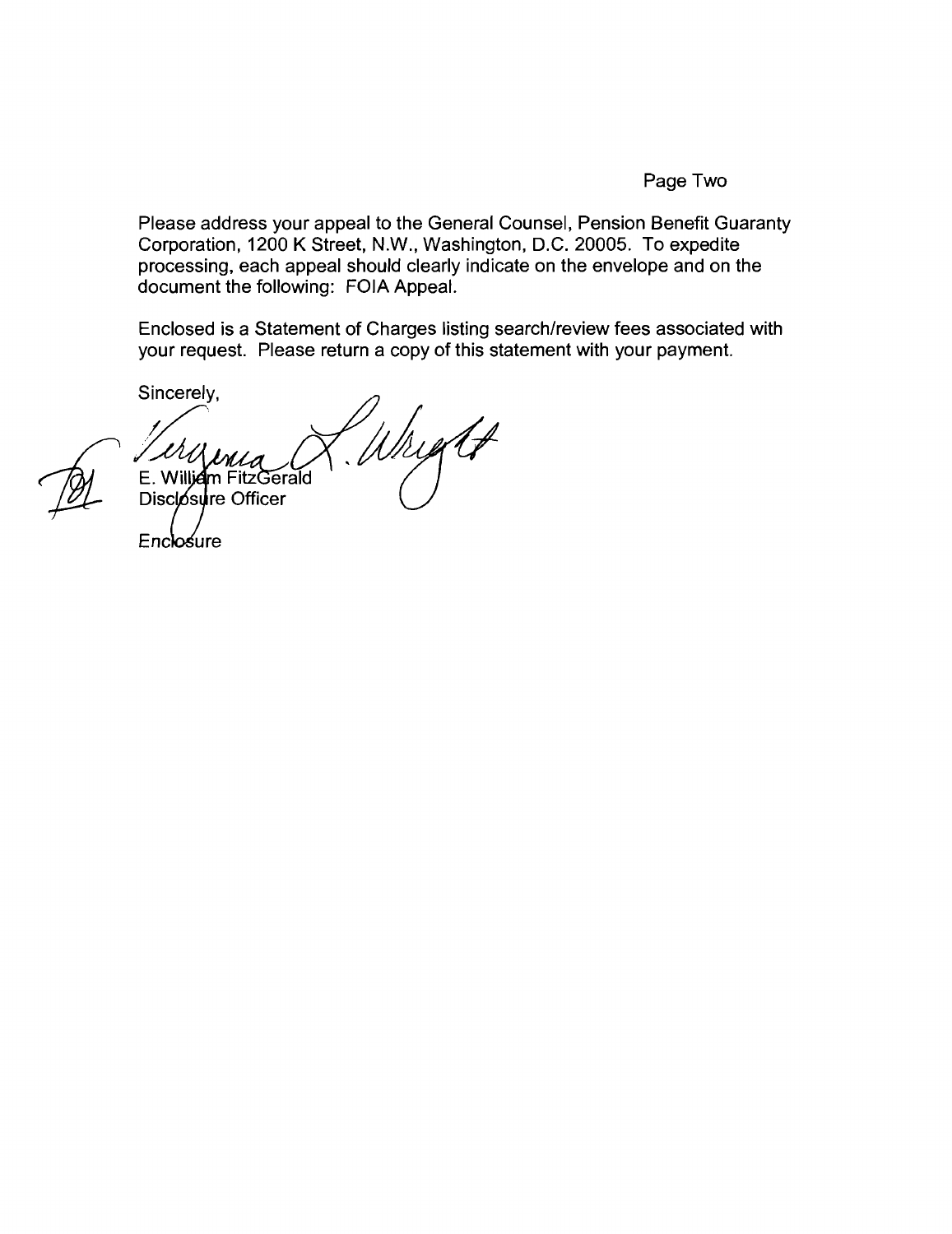## Page Two

Please address your appeal to the General Counsel, Pension Benefit Guaranty Corporation, 1200 K Street, N.W., Washington, D.C. 20005. To expedite processing, each appeal should clearly indicate on the envelope and on the document the following: FOIA Appeal.

Enclosed is a Statement of Charges listing search/review fees associated with your request. Please return a copy of this statement with your payment.

Sincerely,

Wright E. William FitzGerald Disclosure Officer

Enclosure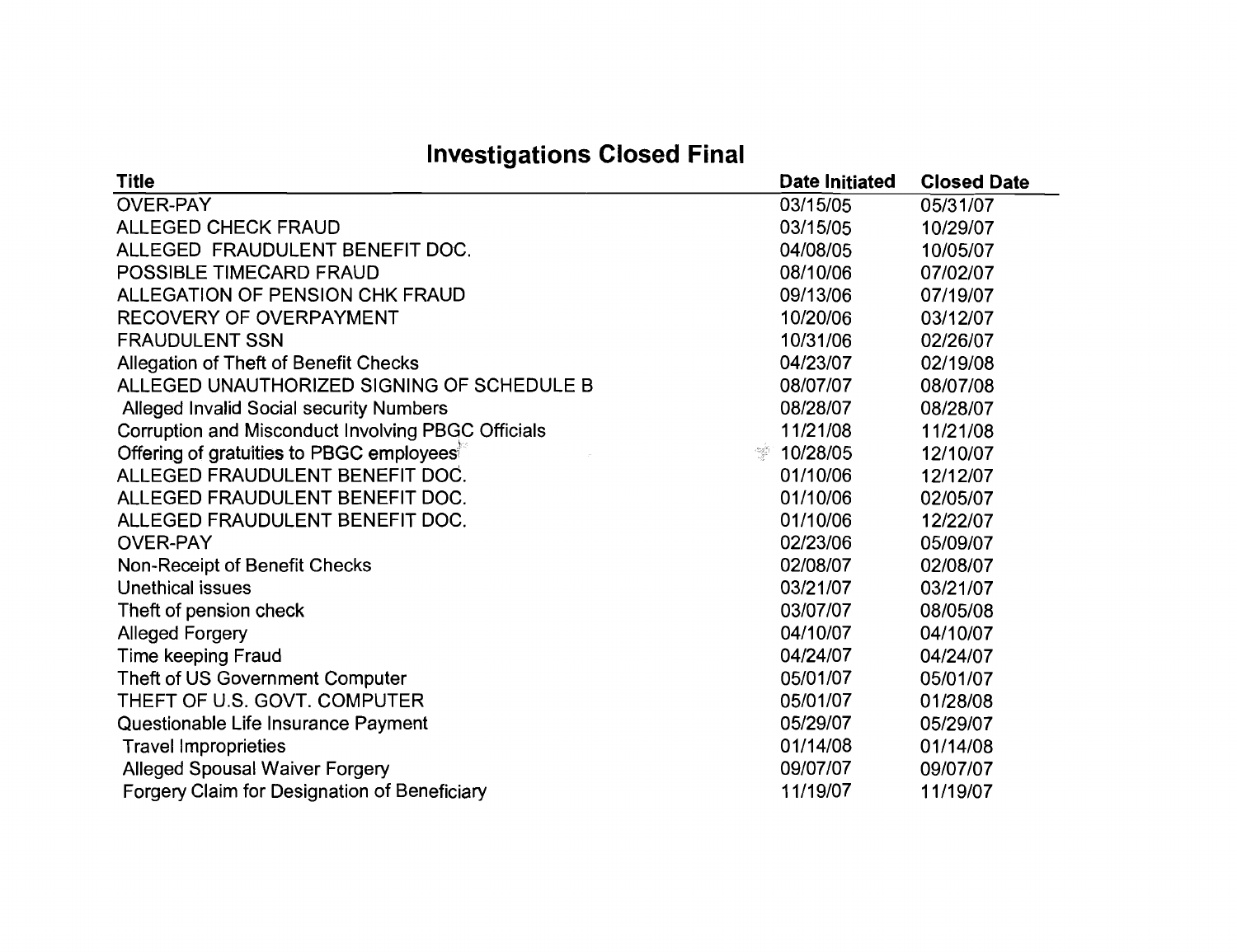## **Investigations Closed Final**

| <b>Title</b>                                                                                                                         | <b>Date Initiated</b> | <b>Closed Date</b> |
|--------------------------------------------------------------------------------------------------------------------------------------|-----------------------|--------------------|
| <b>OVER-PAY</b>                                                                                                                      | 03/15/05              | 05/31/07           |
| <b>ALLEGED CHECK FRAUD</b>                                                                                                           | 03/15/05              | 10/29/07           |
| ALLEGED FRAUDULENT BENEFIT DOC.                                                                                                      | 04/08/05              | 10/05/07           |
| POSSIBLE TIMECARD FRAUD                                                                                                              | 08/10/06              | 07/02/07           |
| ALLEGATION OF PENSION CHK FRAUD                                                                                                      | 09/13/06              | 07/19/07           |
| <b>RECOVERY OF OVERPAYMENT</b>                                                                                                       | 10/20/06              | 03/12/07           |
| <b>FRAUDULENT SSN</b>                                                                                                                | 10/31/06              | 02/26/07           |
| Allegation of Theft of Benefit Checks                                                                                                | 04/23/07              | 02/19/08           |
| ALLEGED UNAUTHORIZED SIGNING OF SCHEDULE B                                                                                           | 08/07/07              | 08/07/08           |
| <b>Alleged Invalid Social security Numbers</b>                                                                                       | 08/28/07              | 08/28/07           |
| Corruption and Misconduct Involving PBGC Officials                                                                                   | 11/21/08              | 11/21/08           |
| Offering of gratuities to PBGC employees <sup>®</sup><br>$\frac{\gamma_{\rm{max}}^{\rm{H}}N_{\rm{H}}}{\gamma_{\rm{max}}^{\rm{H}}}\,$ | 10/28/05              | 12/10/07           |
| ALLEGED FRAUDULENT BENEFIT DOC.                                                                                                      | 01/10/06              | 12/12/07           |
| ALLEGED FRAUDULENT BENEFIT DOC.                                                                                                      | 01/10/06              | 02/05/07           |
| ALLEGED FRAUDULENT BENEFIT DOC.                                                                                                      | 01/10/06              | 12/22/07           |
| <b>OVER-PAY</b>                                                                                                                      | 02/23/06              | 05/09/07           |
| Non-Receipt of Benefit Checks                                                                                                        | 02/08/07              | 02/08/07           |
| Unethical issues                                                                                                                     | 03/21/07              | 03/21/07           |
| Theft of pension check                                                                                                               | 03/07/07              | 08/05/08           |
| <b>Alleged Forgery</b>                                                                                                               | 04/10/07              | 04/10/07           |
| <b>Time keeping Fraud</b>                                                                                                            | 04/24/07              | 04/24/07           |
| Theft of US Government Computer                                                                                                      | 05/01/07              | 05/01/07           |
| THEFT OF U.S. GOVT. COMPUTER                                                                                                         | 05/01/07              | 01/28/08           |
| Questionable Life Insurance Payment                                                                                                  | 05/29/07              | 05/29/07           |
| <b>Travel Improprieties</b>                                                                                                          | 01/14/08              | 01/14/08           |
| <b>Alleged Spousal Waiver Forgery</b>                                                                                                | 09/07/07              | 09/07/07           |
| Forgery Claim for Designation of Beneficiary                                                                                         | 11/19/07              | 11/19/07           |